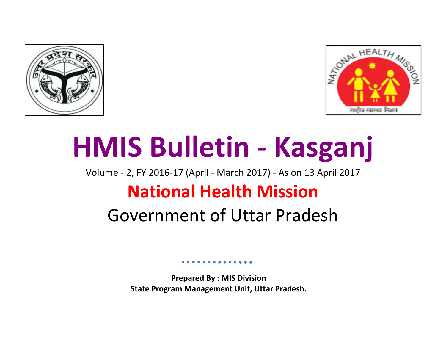



# **HMIS Bulletin - Kasganj**

Volume - 2, FY 2016-17 (April - March 2017) - As on 13 April 2017

## **National Health Mission**

## Government of Uttar Pradesh

**Prepared By : MIS Division State Program Management Unit, Uttar Pradesh.**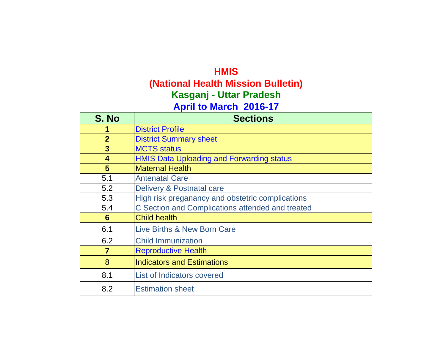#### **HMIS**

**(National Health Mission Bulletin)**

**Kasganj - Uttar Pradesh**

### **April to March 2016-17**

| S. No                   | <b>Sections</b>                                  |
|-------------------------|--------------------------------------------------|
|                         | <b>District Profile</b>                          |
| $\overline{2}$          | <b>District Summary sheet</b>                    |
| 3                       | <b>MCTS status</b>                               |
| $\overline{\mathbf{4}}$ | <b>HMIS Data Uploading and Forwarding status</b> |
| 5                       | <b>Maternal Health</b>                           |
| 5.1                     | <b>Antenatal Care</b>                            |
| 5.2                     | Delivery & Postnatal care                        |
| 5.3                     | High risk preganancy and obstetric complications |
| 5.4                     | C Section and Complications attended and treated |
| 6                       | <b>Child health</b>                              |
| 6.1                     | Live Births & New Born Care                      |
| 6.2                     | <b>Child Immunization</b>                        |
| $\overline{7}$          | <b>Reproductive Health</b>                       |
| 8                       | <b>Indicators and Estimations</b>                |
| 8.1                     | List of Indicators covered                       |
| 8.2                     | <b>Estimation sheet</b>                          |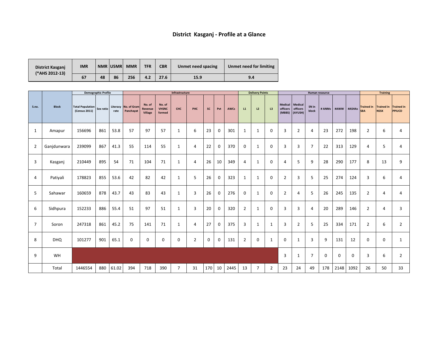|                | <b>Demographic Profile</b> |                                                                                           |     |       |             |                              | Infrastructure                   |                |                |              |                |             | <b>Delivery Points</b> |                |                |                               | Human resource               |                |                |                | <b>Training</b> |                                 |                                      |               |
|----------------|----------------------------|-------------------------------------------------------------------------------------------|-----|-------|-------------|------------------------------|----------------------------------|----------------|----------------|--------------|----------------|-------------|------------------------|----------------|----------------|-------------------------------|------------------------------|----------------|----------------|----------------|-----------------|---------------------------------|--------------------------------------|---------------|
| S.no.          | <b>Block</b>               | Total Population Sex ratio Literacy No. of Gram<br>(Census 2011) Sex ratio rate Panchayat |     |       |             | No. of<br>Revenue<br>Village | No. of<br><b>VHSNC</b><br>formed | <b>CHC</b>     | <b>PHC</b>     | SC           | Pvt            | <b>AWCs</b> | L1                     | L2             | L3             | Medical   Medical<br>officers | officers<br>$(MBBS)$ (AYUSH) | SN in<br>block |                |                |                 | $HANMs$ #AWW #ASHAs $Tained in$ | Trained in Trained in<br><b>NSSK</b> | <b>PPIUCD</b> |
| $\mathbf{1}$   | Amapur                     | 156696                                                                                    | 861 | 53.8  | 57          | 97                           | 57                               |                | 6              | 23           | $\overline{0}$ | 301         | $\mathbf{1}$           | $\mathbf 1$    | $\mathbf 0$    | $\overline{3}$                | $\overline{2}$               | $\overline{4}$ | 23             | 272            | 198             | $\overline{2}$                  | 6                                    | 4             |
| $\overline{2}$ | Ganjdunwara                | 239099                                                                                    | 867 | 41.3  | 55          | 114                          | 55                               |                | $\overline{4}$ | 22           | $\overline{0}$ | 370         | $\overline{0}$         | $\mathbf 1$    | $\overline{0}$ | $\overline{3}$                | $\overline{3}$               |                | 22             | 313            | 129             | $\overline{4}$                  | 5                                    | 4             |
| $\mathbf{3}$   | Kasganj                    | 210449                                                                                    | 895 | 54    | 71          | 104                          | 71                               |                | $\overline{4}$ | 26           | 10             | 349         | $\overline{4}$         | $\mathbf 1$    | $\mathbf 0$    | $\overline{4}$                | 5                            | 9              | 28             | 290            | 177             | 8                               | 13                                   | 9             |
| $\overline{4}$ | Patiyali                   | 178823                                                                                    | 855 | 53.6  | 42          | 82                           | 42                               |                | 5              | 26           | $\overline{0}$ | 323         | $\mathbf{1}$           | $\mathbf 1$    | $\mathbf 0$    | $\overline{2}$                | $\overline{3}$               |                | 25             | 274            | 124             | $\overline{3}$                  | 6                                    |               |
| 5 <sup>5</sup> | Sahawar                    | 160659                                                                                    | 878 | 43.7  | 43          | 83                           | 43                               |                | $\overline{3}$ | 26           | $\overline{0}$ | 276         | $\overline{0}$         | $\mathbf 1$    | $\mathbf 0$    | $\overline{2}$                | $\overline{4}$               |                | 26             | 245            | 135             | $\overline{2}$                  | $\overline{4}$                       |               |
| 6              | Sidhpura                   | 152233                                                                                    | 886 | 55.4  | 51          | 97                           | 51                               |                | $\overline{3}$ | 20           | $\overline{0}$ | 320         | $\overline{2}$         |                | $\overline{0}$ | $\mathbf{3}$                  | 3                            | $\overline{4}$ | 20             | 289            | 146             | $\overline{2}$                  | 4                                    |               |
| $\overline{7}$ | Soron                      | 247318                                                                                    | 861 | 45.2  | 75          | 141                          | 71                               | $\mathbf{1}$   | $\overline{4}$ | 27           | $\overline{0}$ | 375         | $\overline{3}$         |                |                | $\mathbf{3}$                  | $\overline{2}$               | 5              | 25             | 334            | 171             | $\overline{2}$                  | 6                                    |               |
| 8              | <b>DHQ</b>                 | 101277                                                                                    | 901 | 65.1  | $\mathbf 0$ | $\mathbf 0$                  | $\mathbf 0$                      | $\bf{0}$       | $\overline{2}$ | $\mathbf{0}$ | $\overline{0}$ | 131         | $\overline{2}$         | $\overline{0}$ |                | $\mathbf 0$                   |                              | $\overline{3}$ | 9              | 131            | 12              | $\overline{0}$                  | $\bf{0}$                             |               |
| 9              | WH                         |                                                                                           |     |       |             |                              |                                  |                |                |              |                |             |                        |                |                | $\mathbf{3}$                  |                              | $\overline{7}$ | $\overline{0}$ | $\overline{0}$ | $\overline{0}$  | $\overline{3}$                  | 6                                    |               |
|                | Total                      | 1446554                                                                                   | 880 | 61.02 | 394         | 718                          | 390                              | $\overline{7}$ | 31             | 170          | 10             | 2445        | 13                     | $\overline{7}$ | $\overline{2}$ | 23                            | 24                           | 49             | 178            | 2148           | 1092            | 26                              | 50                                   | 33            |

**nmet need for limiting** 

| District Kasganj<br>(*AHS 2012-13) | <b>IMR</b> |    | <b>NMR USMR</b> | <b>MMR</b> | <b>TFR</b> | <b>CBR</b> | <b>Unmet need spacing</b> | Un |
|------------------------------------|------------|----|-----------------|------------|------------|------------|---------------------------|----|
|                                    | 67         | 48 | 86              | 256        | 4.2        | 27.6       | 15.9                      |    |

### **District Kasganj - Profile at a Glance**

**15.9 9.4**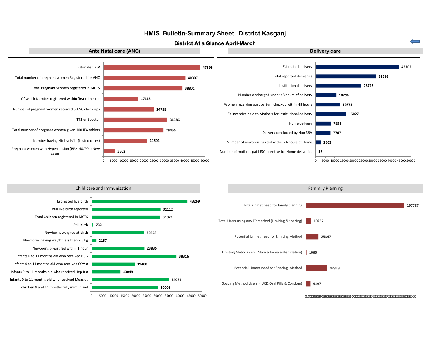



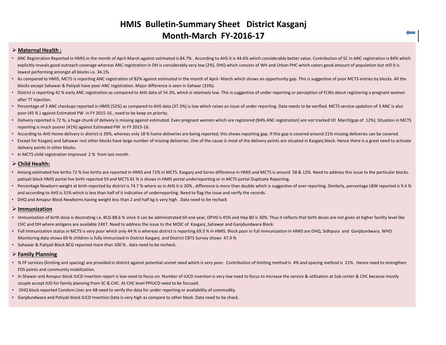#### **HMIS Bulletin-Summary Sheet District Kasganj Month-March FY-2016-17**

#### **Maternal Health :**

- ANC Registration Reported in HMIS in the month of April-March against estimated is 84.7%. According to AHS it is 44.6% which considerably better value. Contribution of SC in ANC registration is 84% which explicitly reveals good outreach coverage whereas ANC registration in DH is considerably very low (2%). DHQ which consists of WH and Urban PHC which caters good amount of population but still it is lowest performing amongst all blocks i.e. 34.1%.
- As compared to HMIS, MCTS is reporting ANC registration of 82% against estimated in the month of April- March which shows an opportunity gap. This is suggestive of poor MCTS entries by blocks. All the blocks except Sahawar & Patiyali have poor ANC registration. Major difference is seen in Sahwar (33%).
- District is reporting 42 % early ANC registration as compared to AHS data of 54.3%, which is relatively low. This is suggestive of under reporting or perception of FLWs about registering a pregnant women after TT injection.
- Percentage of 3 ANC checkups reported in HMIS (52%) as compared to AHS data (37.3%) is low which raises an issue of under reporting. Data needs to be verified. MCTS service updation of 3 ANC is also poor (45 % ) against Estimated PW in FY 2015-16 , need to be keep on priority.
- Delivery reported is 72 %, a huge chunk of delivery is missing against estimated. Even pregnant women which are registered (84% ANC registration) are not tracked till March(gap of 12%). Situation in MCTS reporting is much poorer (41%) against Estimated PW in FY 2015-16.
- According to AHS Home delivery in district is 39%, whereas only 18% home deliveries are being reported, this shows reporting gap. If this gap is covered around 21% missing deliveries can be covered.
- Except for Kasganj and Sahawar rest other blocks have large number of missing deliveries. One of the cause is most of the delivery points are situated in Kasganj block. Hence there is a great need to activate delivery points in other blocks.
- In MCTS child registration Improved 2 % from last month .

#### **Child Health:**

- Among estimated live births 72 % live births are reported in HMIS and 72% in MCTS. Kasganj and Soron difference in HMIS and MCTS is around 58 & 12%. Need to address this issue to the particular blocks. patiyali block HMIS portal live birth reported 59 and MCTS 81 % is shows in HMIS portal underreporting or in MCTS portal Duplicate Reporting.
- Percentage Newborn weight at birth reported by district is 74.7 % where as in AHS it is 30%, difference is more than double which is suggestive of over reporting. Similarly, percentage LBW reported is 9.4 % and according to AHS is 31% which is less than half of it indicative of underreporting. Need to flag the issue and verify the records.
- DHQ and Amapur Block Newborns having weight less than 2 and half kg is very high . Data need to be rechack

#### **Immunization**

- Immunization of birth dose is decorating i.e. BCG 88.6% since it can be administrated till one year, OPV0 is 45% and Hep B0 is 30%. Thus it reflects that birth doses are not given at higher facility level like CHC and DH where antigens are available 24X7. Need to address the issue to the MOIC of Kasganj ,Sahawar and Ganjdundwara Block.
- Full Immunization status in MCTS is very poor which only 44 % is whereas district is reporting 69.3 % in HMIS. Block poor in full immunization in HMIS are DHQ, Sidhpura and Ganjdundwara. WHO Monitoring data shows 69 % children is fully immunized in District Kasganj. and District CBTS Survey shows 47.9 %
- Sahawar & Patiyali Block BCG reported more than 100 % . data need to be recheck.

#### **Family Planning**

- % FP services (limiting and spacing) are provided in district against potential unmet need which is very poor. Contribution of limiting method is 4% and spacing method is 21% . Hence need to strengthen FDS points and community mobilization.
- In Shawar and Amapur block IUCD insertion report is low need to focus on. Number of IUCD insertion is very low need to focus to increase the service & utilization at Sub center & CHC because mostly couple accept IUD for family planning from SC & CHC. At CHC level PPIUCD need to be focused.
- DHQ block reported Condom User are 48 need to verify the data for under reporting or availability of commodity.
- Ganjdundwara and Patiyali block IUCD Insertion Data is very high as compare to other block. Data need to be chack.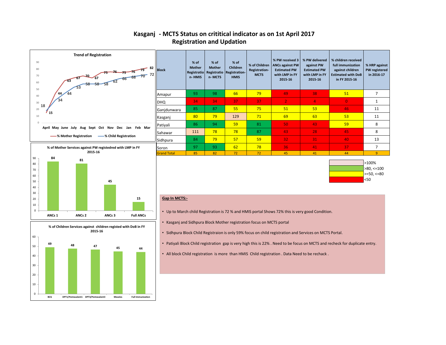| W received 3<br>'s against PW<br>imated PW<br>h LMP in FY<br>2015-16 | % PW delivered<br>against PW<br><b>Estimated PW</b><br>with LMP in FY<br>2015-16 | % children received<br>full immunization<br>against children<br><b>Estimated with DoB</b><br>in FY 2015-16 | % HRP against<br><b>PW registered</b><br>in 2016-17 |
|----------------------------------------------------------------------|----------------------------------------------------------------------------------|------------------------------------------------------------------------------------------------------------|-----------------------------------------------------|
| 49                                                                   | 38                                                                               | 51                                                                                                         | 7                                                   |
| $\overline{2}$                                                       | 4                                                                                | $\overline{0}$                                                                                             | $\mathbf{1}$                                        |
| 51                                                                   | 53                                                                               | 46                                                                                                         | 11                                                  |
| 69                                                                   | 63                                                                               | 53                                                                                                         | 11                                                  |
| 50                                                                   | 43                                                                               | 59                                                                                                         | 8                                                   |
| 43                                                                   | 28                                                                               | 45                                                                                                         | 8                                                   |
| 32                                                                   | 31                                                                               | 40                                                                                                         | 13                                                  |
| 36                                                                   | 41                                                                               | 37                                                                                                         | 7                                                   |
| 45                                                                   | 41                                                                               | 44                                                                                                         | 9                                                   |

| $ >100\%$          |
|--------------------|
| $\vert$ >80, <=100 |
| $\vert$ >=50, <=80 |
| $50$               |

#### **- MCTS Status on crititical indicator as on 1st April 2017 Kasganj Registration and Updation**





- Sidhpura Block Child Registraion is only 59% focus on child registration and Services on MCTS Portal.
- Patiyali Block Child registration gap is very high this is 22% . Need to be focus on MCTS and recheck for duplicate entry.
- All block Child registration is more than HMIS Child registration . Data Need to be rechack .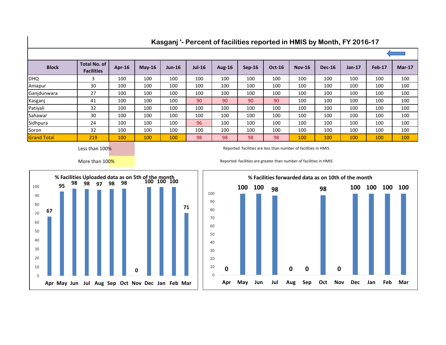| <b>Block</b>       | <b>Total No. of</b><br><b>Facilities</b> | <b>Apr-16</b> | $May-16$ | <b>Jun-16</b> | <b>Jul-16</b> | <b>Aug-16</b> | <b>Sep-16</b> | <b>Oct-16</b> | <b>Nov-16</b> | <b>Dec-16</b> | $Jan-17$ | <b>Feb-17</b> | <b>Mar-17</b> |
|--------------------|------------------------------------------|---------------|----------|---------------|---------------|---------------|---------------|---------------|---------------|---------------|----------|---------------|---------------|
| <b>DHQ</b>         | 3                                        | 100           | 100      | 100           | 100           | 100           | 100           | 100           | 100           | 100           | 100      | 100           | 100           |
| Amapur             | 30                                       | 100           | 100      | 100           | 100           | 100           | 100           | 100           | 100           | 100           | 100      | 100           | 100           |
| Ganjdunwara        | 27                                       | 100           | 100      | 100           | 100           | 100           | 100           | 100           | 100           | 100           | 100      | 100           | 100           |
| Kasganj            | 41                                       | 100           | 100      | 100           | 90            | 90            | 90            | 90            | 100           | 100           | 100      | 100           | 100           |
| Patiyali           | 32                                       | 100           | 100      | 100           | 100           | 100           | 100           | 100           | 100           | 100           | 100      | 100           | 100           |
| Sahawar            | 30                                       | 100           | 100      | 100           | 100           | 100           | 100           | 100           | 100           | 100           | 100      | 100           | 100           |
| Sidhpura           | 24                                       | 100           | 100      | 100           | 96            | 100           | 100           | 100           | 100           | 100           | 100      | 100           | 100           |
| Soron              | 32                                       | 100           | 100      | 100           | 100           | 100           | 100           | 100           | 100           | 100           | 100      | 100           | 100           |
| <b>Grand Total</b> | 219                                      | 100           | 100      | 100           | 98            | 98            | 98            | 98            | 100           | 100           | 100      | 100           | 100           |

#### **Kasganj '- Percent of facilities reported in HMIS by Month, FY 2016-17**

Less than 100%

Reported facilities are less than number of facilities in HMIS

More than 100%



Reported facilities are greater than number of facilities in HMIS

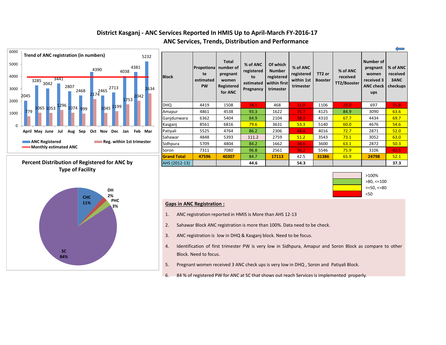#### **District Kasganj - ANC Services Reported In HMIS Up to April-March FY-2016-17 ANC Services, Trends, Distribution and Performance**











- 1. ANC registration reported in HMIS is More than AHS 12-13
- 2. Sahawar Block ANC registration is more than 100%. Data need to be check.
- 3. ANC registration is low in DHQ & Kasganj block. Need to be focus.
- 4. Identification of first trimester PW is very low in Sidhpura, Amapur and Soron Block as compare to other Block. Need to focus.
- 5. Pregnant women received 3 ANC check ups is very low in DHQ , Soron and Patiyali Block.
- 6. 84 % of registered PW for ANC at SC that shows out reach Services is implemented properly.

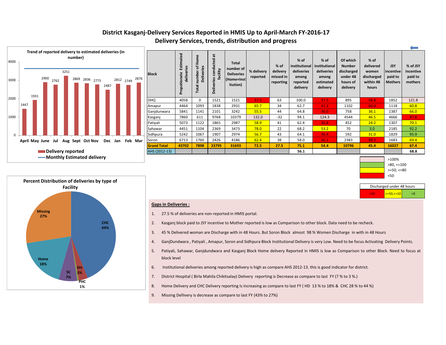|                    |                                         |                                                             |                                                              |                                                                           |                        |                                            |                                                                      |                                                                       |                                                                             |                                                                |                                                      | مسن                                         |
|--------------------|-----------------------------------------|-------------------------------------------------------------|--------------------------------------------------------------|---------------------------------------------------------------------------|------------------------|--------------------------------------------|----------------------------------------------------------------------|-----------------------------------------------------------------------|-----------------------------------------------------------------------------|----------------------------------------------------------------|------------------------------------------------------|---------------------------------------------|
| <b>Block</b>       | Estimated<br>deliveries<br>Propotionate | ome<br>I<br>đ<br><b>Deliveries</b><br>umber<br><b>Total</b> | $\overline{a}$<br>conducted<br>facility<br><b>Deliveries</b> | <b>Total</b><br>number of<br><b>Deliveries</b><br>(Home+Inst <br>itution) | % delivery<br>reported | % of<br>delivery<br>missed in<br>reporting | % of<br>institutional<br>deliveries<br>among<br>reported<br>delivery | % of<br>institutional<br>deliveries<br>among<br>estimated<br>delivery | Of which<br><b>Number</b><br>discharged<br>under 48<br>hours of<br>delivery | % of<br>delivered<br>women<br>discharged<br>within 48<br>hours | <b>JSY</b><br>incentive<br>paid to<br><b>Mothers</b> | % of JSY<br>incentive<br>paid to<br>mothers |
| DHQ                | 4058                                    | $\mathbf 0$                                                 | 1521                                                         | 1521                                                                      | 37.5                   | 63                                         | 100.0                                                                | 37.5                                                                  | 895                                                                         | 58.8                                                           | 1852                                                 | 121.8                                       |
| Amapur             | 4464                                    | 1093                                                        | 1838                                                         | 2931                                                                      | 65.7                   | 34                                         | 62.7                                                                 | 41.2                                                                  | 1102                                                                        | 60.0                                                           | 1118                                                 | 60.8                                        |
| Ganjdunwara        | 5841                                    | 1141                                                        | 2101                                                         | 3242                                                                      | 55.5                   | 44                                         | 64.8                                                                 | 36.0                                                                  | 758                                                                         | 36.1                                                           | 1387                                                 | 66.0                                        |
| Kasganj            | 7860                                    | 611                                                         | 9768                                                         | 10379                                                                     | 132.0                  | $-32$                                      | 94.1                                                                 | 124.3                                                                 | 4544                                                                        | 46.5                                                           | 4666                                                 | 47.8                                        |
| Patiyali           | 5073                                    | 1122                                                        | 1865                                                         | 2987                                                                      | 58.9                   | 41                                         | 62.4                                                                 | 36.8                                                                  | 452                                                                         | 24.2                                                           | 1307                                                 | 70.1                                        |
| Sahawar            | 4451                                    | 1104                                                        | 2369                                                         | 3473                                                                      | 78.0                   | 22                                         | 68.2                                                                 | 53.2                                                                  | 70                                                                          | 3.0                                                            | 2185                                                 | 92.2                                        |
| Sidhpura           | 5242                                    | 1067                                                        | 1907                                                         | 2974                                                                      | 56.7                   | 43                                         | 64.1                                                                 | 36.4                                                                  | 592                                                                         | 31.0                                                           | 1829                                                 | 95.9                                        |
| Soron              | 6713                                    | 1760                                                        | 2426                                                         | 4186                                                                      | 62.4                   | 38                                         | 58.0                                                                 | 36.1                                                                  | 2383                                                                        | 98.2                                                           | 1683                                                 | 69.4                                        |
| <b>Grand Total</b> | 43702                                   | 7898                                                        | 23795                                                        | 31693                                                                     | 72.5                   | 27.5                                       | 75.1                                                                 | 54.4                                                                  | 10796                                                                       | 45.4                                                           | 16027                                                | 67.4                                        |
| AHS (2012-13)      |                                         |                                                             |                                                              |                                                                           |                        |                                            | 56.1                                                                 |                                                                       |                                                                             |                                                                |                                                      | 68.8                                        |
|                    |                                         |                                                             |                                                              |                                                                           |                        |                                            |                                                                      |                                                                       |                                                                             |                                                                | >100%<br>$>80, \le 100$<br>$>=50,<=80$               |                                             |

| Discharged under 48 hours      |  |
|--------------------------------|--|
| <mark>'&lt;=50,&lt;=10 </mark> |  |

#### **District Kasganj-Delivery Services Reported in HMIS Up to April-March FY-2016-17 Delivery Services, trends, distribution and progress**

<50





#### **Gaps in Deliveries :**

- 1. 27.5 % of deliveries are non-reported in HMIS portal.
- 2. Kasganj block paid to JSY incentive to Mother reported is low as Comparison to other block. Data need to be recheck.
- 3. 45 % Delivered woman are Discharge with in 48 Hours. But Soron Block almost 98 % Women Discharge in with in 48 Hours
- 4. GanjDundwara , Patiyali , Amapur, Soron and Sidhpura Block Institutional Delivery is very Low. Need to be focus Activating Delivery Points.
- 5. Patiyali, Sahawar, Ganjdundwara and Kasganj Block Home delivery Reported in HMIS is low as Comparison to other Block. Need to focus at block level
- 6. Institutional deliveries among reported delivery is high as compare AHS 2012-13. this is good indicator for district.
- 7. District Hospital ( Birla Mahila Chikitsalay) Delivery reporting is Decrease as compare to last FY (7 % to 3 %.)
- 8. Home Delivery and CHC Delivery reporting Is increasing as compare to last FY ( HD 13 % to 18% & CHC 28 % to 44 %)
- 9. Missing Dellivery is decrease as compare to last FY (43% to 27%)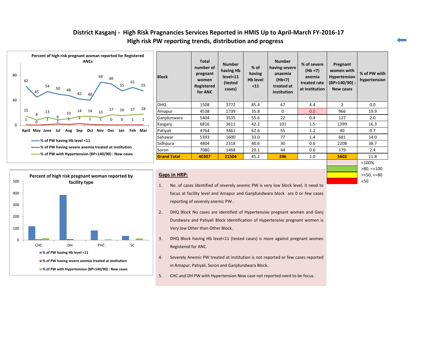#### **District Kasganj - High Risk Pragnancies Services Reported in HMIS Up to April-March FY-2016-17 High risk PW reporting trends, distribution and progress**





| <b>Block</b>       | <b>Total</b><br>number of<br>pregnant<br>women<br><b>Registered</b><br>for ANC | <b>Number</b><br>having Hb<br>level<11<br>(tested<br>cases) | $%$ of<br>having<br><b>Hb level</b><br>$11$ | <b>Number</b><br>having severe<br>anaemia<br>(Hb<7)<br>treated at<br>institution | % of severe<br>(Hb < 7)<br>anemia<br>treated rate<br>at institution | Pregnant<br>women with<br><b>Hypertension</b><br>$(BP>140/90)$ :<br><b>New cases</b> | % of PW with<br>hypertension |
|--------------------|--------------------------------------------------------------------------------|-------------------------------------------------------------|---------------------------------------------|----------------------------------------------------------------------------------|---------------------------------------------------------------------|--------------------------------------------------------------------------------------|------------------------------|
| DHQ                | 1508                                                                           | 3772                                                        | 85.4                                        | 67                                                                               | 4.4                                                                 | 2                                                                                    | 0.0                          |
| Amapur             | 4538                                                                           | 1739                                                        | 35.8                                        | $\Omega$                                                                         | 0.0                                                                 | 966                                                                                  | 19.9                         |
| Ganjdunwara        | 5404                                                                           | 3535                                                        | 55.6                                        | 22                                                                               | 0.4                                                                 | 127                                                                                  | 2.0                          |
| Kasganj            | 6816                                                                           | 3611                                                        | 42.2                                        | 101                                                                              | 1.5                                                                 | 1399                                                                                 | 16.3                         |
| Patiyali           | 4764                                                                           | 3461                                                        | 62.6                                        | 55                                                                               | 1.2                                                                 | 40                                                                                   | 0.7                          |
| Sahawar            | 5393                                                                           | 1600                                                        | 33.0                                        | 77                                                                               | 1.4                                                                 | 681                                                                                  | 14.0                         |
| Sidhpura           | 4804                                                                           | 2318                                                        | 40.6                                        | 30                                                                               | 0.6                                                                 | 2208                                                                                 | 38.7                         |
| Soron              | 7080                                                                           | 1468                                                        | 20.1                                        | 44                                                                               | 0.6                                                                 | 179                                                                                  | 2.4                          |
| <b>Grand Total</b> | 40307                                                                          | 21504                                                       | 45.2                                        | 396                                                                              | 1.0                                                                 | 5602                                                                                 | 11.8                         |

#### **Gaps in HRP:**

- 1. No. of cases identified of severely anemic PW is very low block level, it need to focus at facility level and Amapur and Ganjdundwara block are 0 or few cases reporting of severely anemic PW .
- 2. DHQ Block No cases are identified of Hypertensive pregnant women and Ganj Dundwara and Patiyali Block Identification of Hypertensive pregnant women is Very low Other than Other Block.
- 3. DHQ Block having Hb level<11 (tested cases) is more against pregnant women Registered for ANC.
- 4. Severely Anemic PW treated at institution is not reported or few cases reported in Amapur, Patiyali, Soron and Ganjdundwara Block.
- 5. CHC and DH PW with Hypertension New case not reported need to be focus.

>=50, <=80 <50 >100% >80, <=100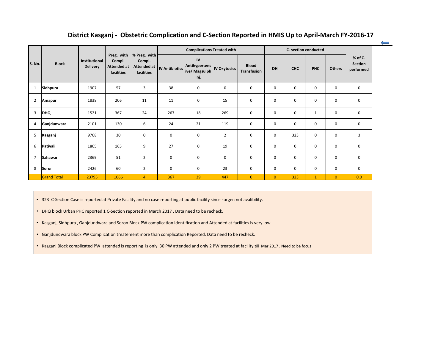| District Kasganj - Obstetric Complication and C-Section Reported in HMIS Up to April-March FY-2016-17 |                    |                                         |                                                          |                                                     |                       |                                                             |                  |                                    |                |             |                      |                |                                        |
|-------------------------------------------------------------------------------------------------------|--------------------|-----------------------------------------|----------------------------------------------------------|-----------------------------------------------------|-----------------------|-------------------------------------------------------------|------------------|------------------------------------|----------------|-------------|----------------------|----------------|----------------------------------------|
|                                                                                                       |                    |                                         |                                                          |                                                     |                       | <b>Complications Treated with</b>                           |                  |                                    |                |             | C- section conducted |                |                                        |
| S. No.                                                                                                | <b>Block</b>       | <b>Institutional</b><br><b>Delivery</b> | Preg. with<br>Compl.<br><b>Attended at</b><br>facilities | % Preg. with<br>Compl.<br>Attended at<br>facilities | <b>IV Antibiotics</b> | IV<br>Antihypertens   IV Oxytocics<br>ive/ Magsulph<br>Inj. |                  | <b>Blood</b><br><b>Transfusion</b> | <b>DH</b>      | <b>CHC</b>  | <b>PHC</b>           | <b>Others</b>  | % of C-<br><b>Section</b><br>performed |
| $\mathbf{1}$                                                                                          | Sidhpura           | 1907                                    | 57                                                       | 3                                                   | 38                    | $\bf{0}$                                                    | $\boldsymbol{0}$ | $\mathbf 0$                        | $\mathbf 0$    | 0           | $\mathbf 0$          | $\mathbf 0$    | 0                                      |
| $\overline{2}$                                                                                        | <b>Amapur</b>      | 1838                                    | 206                                                      | 11                                                  | 11                    | $\mathbf 0$                                                 | 15               | $\mathbf 0$                        | $\mathbf 0$    | 0           | $\mathbf 0$          | $\mathbf 0$    | 0                                      |
| $\overline{3}$                                                                                        | <b>DHQ</b>         | 1521                                    | 367                                                      | 24                                                  | 267                   | 18                                                          | 269              | $\mathbf 0$                        | $\mathbf 0$    | $\mathbf 0$ | $\mathbf{1}$         | $\mathbf 0$    | $\mathbf 0$                            |
| 4                                                                                                     | Ganjdunwara        | 2101                                    | 130                                                      | 6                                                   | 24                    | 21                                                          | 119              | $\mathbf 0$                        | $\mathbf 0$    | $\mathbf 0$ | $\mathbf 0$          | $\mathbf 0$    | $\mathbf 0$                            |
| 5                                                                                                     | Kasganj            | 9768                                    | 30                                                       | $\mathbf 0$                                         | 0                     | $\bf{0}$                                                    | $\overline{2}$   | 0                                  | $\mathbf 0$    | 323         | $\mathbf 0$          | 0              | 3                                      |
| 6                                                                                                     | Patiyali           | 1865                                    | 165                                                      | 9                                                   | 27                    | $\mathbf 0$                                                 | 19               | $\mathbf 0$                        | $\mathbf 0$    | $\mathbf 0$ | $\mathbf 0$          | $\mathbf 0$    | 0                                      |
| $\overline{7}$                                                                                        | Sahawar            | 2369                                    | 51                                                       | $\overline{2}$                                      | $\mathbf 0$           | $\mathbf 0$                                                 | $\boldsymbol{0}$ | 0                                  | $\mathbf 0$    | $\Omega$    | $\Omega$             | $\mathbf 0$    | 0                                      |
| 8                                                                                                     | Soron              | 2426                                    | 60                                                       | $\overline{2}$                                      | $\mathbf 0$           | $\mathbf 0$                                                 | 23               | 0                                  | $\mathbf 0$    | $\mathbf 0$ | 0                    | $\mathbf 0$    | 0                                      |
|                                                                                                       | <b>Grand Total</b> | 23795                                   | 1066                                                     | $\overline{4}$                                      | 367                   | 39                                                          | 447              | $\overline{0}$                     | $\overline{0}$ | 323         | $\mathbf{1}$         | $\overline{0}$ | 0.0                                    |

• 323 C-Section Case is reported at Private Facility and no case reporting at public facility since surgen not avalibility.

• DHQ block Urban PHC reported 1 C-Section reported in March 2017 . Data need to be recheck.

• Kasganj, Sidhpura , Ganjdundwara and Soron Block PW complication Identification and Attended at facilities is very low.

• Ganjdundwara block PW Complication treatement more than complication Reported. Data need to be recheck.

• Kasganj Block complicated PW attended is reporting is only 30 PW attended and only 2 PW treated at facility till Mar 2017 . Need to be focus

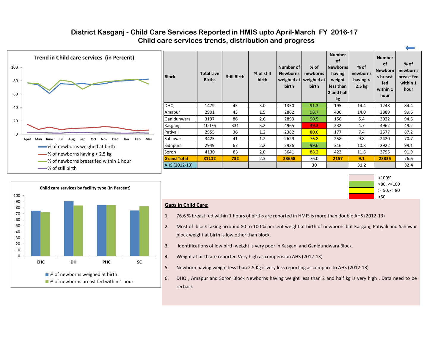#### **District Kasganj - Child Care Services Reported in HMIS upto April-March FY 2016-17 Child care services trends, distribution and progress**









 $\leftarrow$ 

#### **Gaps in Child Care:**

- 1. 76.6 % breast fed within 1 hours of births are reported in HMIS is more than double AHS (2012-13)
- 2. Most of block taking arround 80 to 100 % percent weight at birth of newborns but Kasganj, Patiyali and Sahawar block weight at birth is low other than block.
- 3. Identifications of low birth weight is very poor in Kasganj and Ganjdundwara Block.
- 4. Weight at birth are reported Very high as comperision AHS (2012-13)
- 5. Newborn having weight less than 2.5 Kg is very less reporting as compare to AHS (2012-13)
- 6. DHQ , Amapur and Soron Block Newborns having weight less than 2 and half kg is very high . Data need to be rechack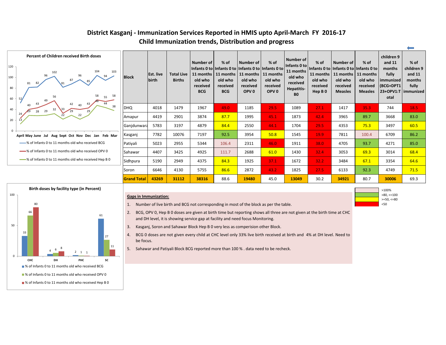|                    |                           |                                    |                                                                    |                                                          |                                                                                                                                       |                                                              |                                                                                                 |                                                                                |                                                                                                       |                                                            |                                                                                        | $\leftarrow$                                                   |
|--------------------|---------------------------|------------------------------------|--------------------------------------------------------------------|----------------------------------------------------------|---------------------------------------------------------------------------------------------------------------------------------------|--------------------------------------------------------------|-------------------------------------------------------------------------------------------------|--------------------------------------------------------------------------------|-------------------------------------------------------------------------------------------------------|------------------------------------------------------------|----------------------------------------------------------------------------------------|----------------------------------------------------------------|
| <b>Block</b>       | <b>Est. live</b><br>birth | <b>Total Live</b><br><b>Births</b> | <b>Number of</b><br>11 months<br>old who<br>received<br><b>BCG</b> | $%$ of<br>11 months<br>old who<br>received<br><b>BCG</b> | <b>Number of</b><br>Infants 0 to   Infants 0 to   Infants 0 to   Infants 0 to<br>11 months<br>old who<br>received<br>OPV <sub>0</sub> | % of<br>11 months<br>old who<br>received<br>OPV <sub>0</sub> | Number of<br>Infants 0 to<br>11 months<br>old who<br>received<br><b>Hepatitis-</b><br><b>BO</b> | % of<br>Infants 0 to<br>11 months<br>old who<br>received<br>Hep B <sub>0</sub> | <b>Number of</b><br>Infants 0 to   Infants 0 to<br>11 months<br>old who<br>received<br><b>Measles</b> | % of<br>11 months<br>old who<br>received<br><b>Measles</b> | children 9<br>and 11<br>months<br>fully<br>immunized<br>(BCG+DPT1<br>23+OPV1:T<br>otal | $%$ of<br>children 9<br>and 11<br>months<br>fully<br>immunized |
| DHQ                | 4018                      | 1479                               | 1967                                                               | 49.0                                                     | 1185                                                                                                                                  | 29.5                                                         | 1089                                                                                            | 27.1                                                                           | 1417                                                                                                  | 35.3                                                       | 744                                                                                    | 18.5                                                           |
| Amapur             | 4419                      | 2901                               | 3874                                                               | 87.7                                                     | 1995                                                                                                                                  | 45.1                                                         | 1873                                                                                            | 42.4                                                                           | 3965                                                                                                  | 89.7                                                       | 3668                                                                                   | 83.0                                                           |
| Ganjdunwara        | 5783                      | 3197                               | 4879                                                               | 84.4                                                     | 2550                                                                                                                                  | 44.1                                                         | 1704                                                                                            | 29.5                                                                           | 4353                                                                                                  | 75.3                                                       | 3497                                                                                   | 60.5                                                           |
| Kasganj            | 7782                      | 10076                              | 7197                                                               | 92.5                                                     | 3954                                                                                                                                  | 50.8                                                         | 1545                                                                                            | 19.9                                                                           | 7811                                                                                                  | 100.4                                                      | 6709                                                                                   | 86.2                                                           |
| Patiyali           | 5023                      | 2955                               | 5344                                                               | 106.4                                                    | 2311                                                                                                                                  | 46.0                                                         | 1911                                                                                            | 38.0                                                                           | 4705                                                                                                  | 93.7                                                       | 4271                                                                                   | 85.0                                                           |
| Sahawar            | 4407                      | 3425                               | 4925                                                               | 111.7                                                    | 2688                                                                                                                                  | 61.0                                                         | 1430                                                                                            | 32.4                                                                           | 3053                                                                                                  | 69.3                                                       | 3014                                                                                   | 68.4                                                           |
| Sidhpura           | 5190                      | 2949                               | 4375                                                               | 84.3                                                     | 1925                                                                                                                                  | 37.1                                                         | 1672                                                                                            | 32.2                                                                           | 3484                                                                                                  | 67.1                                                       | 3354                                                                                   | 64.6                                                           |
| Soron              | 6646                      | 4130                               | 5755                                                               | 86.6                                                     | 2872                                                                                                                                  | 43.2                                                         | 1825                                                                                            | 27.5                                                                           | 6133                                                                                                  | 92.3                                                       | 4749                                                                                   | 71.5                                                           |
| <b>Grand Total</b> | 43269                     | 31112                              | 38316                                                              | 88.6                                                     | 19480                                                                                                                                 | 45.0                                                         | 13049                                                                                           | 30.2                                                                           | 34921                                                                                                 | 80.7                                                       | 30006                                                                                  | 69.3                                                           |

>100%  $>80, \le 100$ 

#### **District Kasganj - Immunization Services Reported in HMIS upto April-March FY 2016-17 Child Immunization trends, Distribution and progress**

<50

>=50, <=80





#### **Gaps in Immunization:**

- 1. Number of live birth and BCG not corresponding in most of the block as per the table.
- 2. BCG, OPV 0, Hep B 0 doses are given at birth time but reporting shows all three are not given at the birth time at CHC and DH level, it is showing service gap at facility and need focus Monitoring.
- 3. Kasganj, Soron and Sahawar Block Hep B 0 very less as comperision other Block.
- 4. BCG 0 doses are not given every child at CHC level only 33% live birth received at birth and 4% at DH level. Need to be focus.
- 5. Sahawar and Patiyali Block BCG reported more than 100 % . data need to be recheck.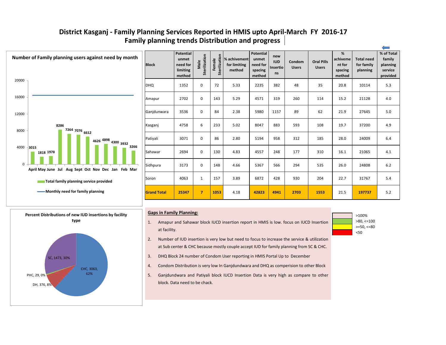| <b>Block</b>       | <b>Potential</b><br>unmet<br>need for<br>limiting<br>method | Sterilization<br>Male   | Sterilization<br>Female | % achivement<br>for limiting<br>method | <b>Potential</b><br>unmet<br>need for<br>spacing<br>method | new<br><b>IUD</b><br>Insertio<br><b>ns</b> | Condom<br><b>Users</b> | <b>Oral Pills</b><br><b>Users</b> | %<br>achiveme<br>nt for<br>spacing<br>method | <b>Total need</b><br>for family<br>planning | % of Total<br>family<br>planning<br>service<br>provided |
|--------------------|-------------------------------------------------------------|-------------------------|-------------------------|----------------------------------------|------------------------------------------------------------|--------------------------------------------|------------------------|-----------------------------------|----------------------------------------------|---------------------------------------------|---------------------------------------------------------|
| <b>DHQ</b>         | 1352                                                        | $\mathbf 0$             | 72                      | 5.33                                   | 2235                                                       | 382                                        | 48                     | 35                                | 20.8                                         | 10114                                       | 5.3                                                     |
| Amapur             | 2702                                                        | $\mathbf 0$             | 143                     | 5.29                                   | 4571                                                       | 319                                        | 260                    | 114                               | 15.2                                         | 21128                                       | 4.0                                                     |
| Ganjdunwara        | 3536                                                        | $\mathbf 0$             | 84                      | 2.38                                   | 5980                                                       | 1157                                       | 89                     | 62                                | 21.9                                         | 27645                                       | 5.0                                                     |
| Kasganj            | 4758                                                        | 6                       | 233                     | 5.02                                   | 8047                                                       | 883                                        | 593                    | 108                               | 19.7                                         | 37200                                       | 4.9                                                     |
| Patiyali           | 3071                                                        | $\mathbf 0$             | 86                      | 2.80                                   | 5194                                                       | 958                                        | 312                    | 185                               | 28.0                                         | 24009                                       | 6.4                                                     |
| Sahawar            | 2694                                                        | $\mathbf 0$             | 130                     | 4.83                                   | 4557                                                       | 248                                        | 177                    | 310                               | 16.1                                         | 21065                                       | 4.1                                                     |
| Sidhpura           | 3173                                                        | $\mathbf 0$             | 148                     | 4.66                                   | 5367                                                       | 566                                        | 294                    | 535                               | 26.0                                         | 24808                                       | $6.2\,$                                                 |
| Soron              | 4063                                                        | $\mathbf{1}$            | 157                     | 3.89                                   | 6872                                                       | 428                                        | 930                    | 204                               | 22.7                                         | 31767                                       | 5.4                                                     |
| <b>Grand Total</b> | 25347                                                       | $\overline{\mathbf{z}}$ | 1053                    | 4.18                                   | 42823                                                      | 4941                                       | 2703                   | 1553                              | 21.5                                         | 197737                                      | 5.2                                                     |

#### **Family planning trends Distribution and progress District Kasganj - Family Planning Services Reported in HMIS upto April-March FY 2016-17**

<50 >100% >80, <=100 >=50, <=80







#### **Gaps in Family Planning:**



- 2. Number of IUD insertion is very low but need to focus to increase the service & utilization at Sub center & CHC because mostly couple accept IUD for family planning from SC & CHC.
- 3. DHQ Block 24 number of Condom User reporting in HMIS Portal Up to December
- 4. Condom Distribution is very low In Ganjdundwara and DHQ as comperision to other Block
- 5. Ganjdundwara and Patiyali block IUCD Insertion Data is very high as compare to other block. Data need to be chack.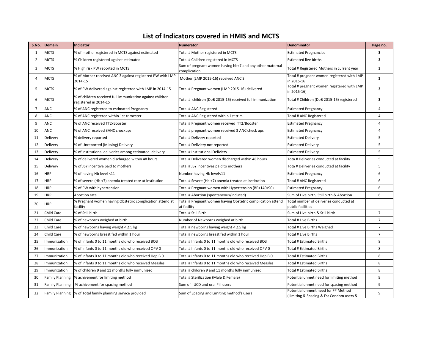| S.No. | Domain                 | <b>Indicator</b>                                                                   | <b>Numerator</b>                                                           | <b>Denominator</b>                                                              | Page no.       |
|-------|------------------------|------------------------------------------------------------------------------------|----------------------------------------------------------------------------|---------------------------------------------------------------------------------|----------------|
|       | MCTS                   | % of mother registered in MCTS against estimated                                   | Total # Mother registered in MCTS                                          | <b>Estimated Pregnancies</b>                                                    | 3              |
| 2     | <b>MCTS</b>            | % Children registered against estimated                                            | Total # Children registered in MCTS                                        | <b>Estimated live births</b>                                                    | 3              |
| 3     | MCTS                   | % High risk PW reported in MCTS                                                    | Sum of pregnant women having hb<7 and any other maternal<br>complication   | Total # Registered Mothers in current year                                      | 3              |
| 4     | MCTS                   | % of Mother received ANC 3 against registered PW with LMP<br>2014-15               | Mother (LMP 2015-16) received ANC 3                                        | Total # pregnant women registered with LMP<br>in 2015-16                        | 3              |
| .5    | MCTS                   | % of PW delivered against registered with LMP in 2014-15                           | Total # Pregnant women (LMP 2015-16) delivered                             | Total # pregnant women registered with LMP<br>in 2015-16)                       | 3              |
| 6     | MCTS                   | % of children received full immunization against children<br>registered in 2014-15 | Total # children (DoB 2015-16) received full immunization                  | Total # Children (DoB 2015-16) registered                                       | 3              |
|       | <b>ANC</b>             | % of ANC registered to estimated Pregnancy                                         | Total # ANC Registered                                                     | <b>Estimated Pregnancy</b>                                                      | 4              |
| 8     | ANC                    | % of ANC registered within 1st trimester                                           | Total # ANC Registered within 1st trim                                     | Total # ANC Registered                                                          | 4              |
| 9     | ANC                    | % of ANC received TT2/Booster                                                      | Total # Pregnant women received TT2/Booster                                | <b>Estimated Pregnancy</b>                                                      | 4              |
| 10    | <b>ANC</b>             | % of ANC received 3ANC checkups                                                    | Total # pregnant women received 3 ANC check ups                            | <b>Estimated Pregnancy</b>                                                      | 4              |
| 11    | Delivery               | % delivery reported                                                                | Total # Delivery reported                                                  | <b>Estimated Delivery</b>                                                       | 5              |
| 12    | Delivery               | % of Unreported (Missing) Delivery                                                 | Total # Deliviery not reported                                             | <b>Estimated Delivery</b>                                                       | 5              |
| 13    | Delivery               | % of institutional deliveries among estimated delivery                             | Total # Institutional Deliviery                                            | <b>Estimated Delivery</b>                                                       | 5              |
| 14    | Delivery               | % of delivered women discharged within 48 hours                                    | Total # Delivered women discharged within 48 hours                         | Tota # Deliveries conducted at facility                                         | 5              |
| 15    | Delivery               | % of JSY incentive paid to mothers                                                 | Total # JSY Incentives paid to mothers                                     | Tota # Deliveries conducted at facility                                         | 5              |
| 16    | <b>HRP</b>             | % of having Hb level <11                                                           | Number having Hb level<11                                                  | <b>Estimated Pregnancy</b>                                                      | 6              |
| 17    | <b>HRP</b>             | % of severe (Hb <7) anemia treated rate at institution                             | Total # Severe (Hb <7) anemia treated at institution                       | Total # ANC Registered                                                          | 6              |
| 18    | <b>HRP</b>             | % of PW with hypertension                                                          | Total # Pregnant women with Hypertension (BP>140/90)                       | <b>Estimated Pregnancy</b>                                                      | 6              |
| 19    | <b>HRP</b>             | Abortion rate                                                                      | Total # Abortion (spontaneous/induced)                                     | Sum of Live birth, Still birth & Abortion                                       | 6              |
| 20    | <b>HRP</b>             | % Pregnant women having Obstetric complication attend at<br>facility               | Total # Pregnant women having Obstetric complication attend<br>at facility | Total number of deliveries conducted at<br>public facilities                    |                |
| 21    | Child Care             | % of Still birth                                                                   | Total # Still Birth                                                        | Sum of Live birth & Still birth                                                 | $\overline{7}$ |
| 22    | Child Care             | % of newborns weighed at birth                                                     | Number of Newborns weighed at birth                                        | Total # Live Births                                                             | $\overline{7}$ |
| 23    | Child Care             | % of newborns having weight < 2.5 kg                                               | Total # newborns having weight < 2.5 kg                                    | Total # Live Births Weighed                                                     | $\overline{7}$ |
| 24    | Child Care             | % of newborns breast fed within 1 hour                                             | Total # newborns breast fed within 1 hour                                  | Total # Live Births                                                             | $\overline{7}$ |
| 25    | Immunization           | % of Infants 0 to 11 months old who received BCG                                   | Total # Infants 0 to 11 months old who received BCG                        | <b>Total # Estimated Births</b>                                                 | 8              |
| 26    | Immunization           | % of Infants 0 to 11 months old who received OPV 0                                 | Total # Infants 0 to 11 months old who received OPV 0                      | <b>Total # Estimated Births</b>                                                 | 8              |
| 27    | Immunization           | % of Infants 0 to 11 months old who received Hep B 0                               | Total # Infants 0 to 11 months old who received Hep B 0                    | <b>Total # Estimated Births</b>                                                 | 8              |
| 28    | Immunization           | % of Infants 0 to 11 months old who received Measles                               | Total # Infants 0 to 11 months old who received Measles                    | <b>Total # Estimated Births</b>                                                 | 8              |
| 29    | Immunization           | % of children 9 and 11 months fully immunized                                      | Total # children 9 and 11 months fully immunized                           | <b>Total # Estimated Births</b>                                                 | 8              |
| 30    | <b>Family Planning</b> | % achivement for limiting method                                                   | Total # Sterilization (Male & Female)                                      | Potential unmet need for limiting method                                        | 9              |
| 31    | <b>Family Planning</b> | % achivement for spacing method                                                    | Sum of IUCD and oral Pill users                                            | Potential unmet need for spacing method                                         | 9              |
| 32    | <b>Family Planning</b> | % of Total family planning service provided                                        | Sum of Spacing and Limiting method's users                                 | Potential unment need for FP Method<br>(Limiting & Spacing & Est Condom users & | 9              |

#### **List of Indicators covered in HMIS and MCTS**